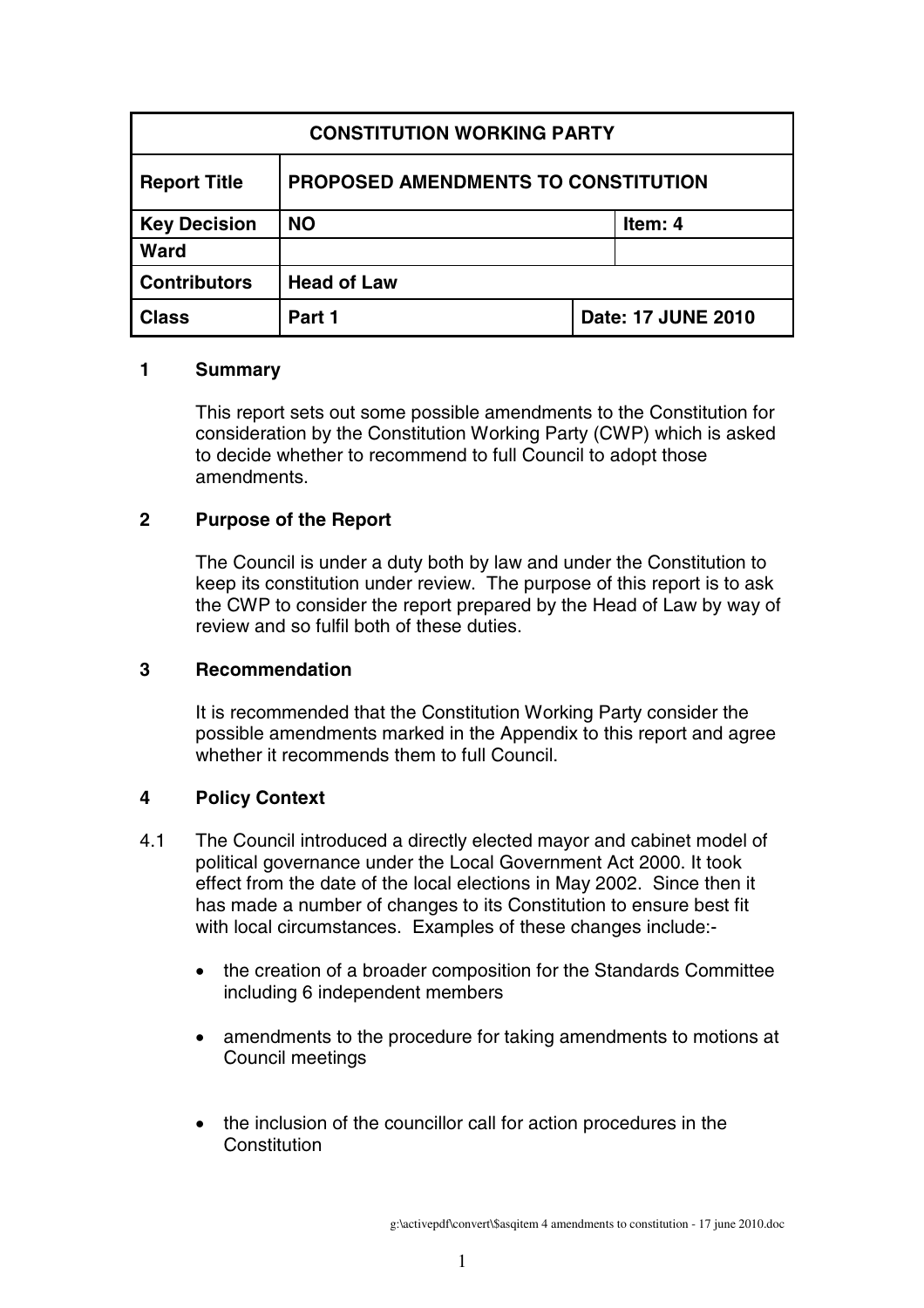| <b>CONSTITUTION WORKING PARTY</b> |                                     |                    |         |
|-----------------------------------|-------------------------------------|--------------------|---------|
| <b>Report Title</b>               | PROPOSED AMENDMENTS TO CONSTITUTION |                    |         |
| <b>Key Decision</b>               | <b>NO</b>                           |                    | Item: 4 |
| <b>Ward</b>                       |                                     |                    |         |
| <b>Contributors</b>               | <b>Head of Law</b>                  |                    |         |
| <b>Class</b>                      | Part 1                              | Date: 17 JUNE 2010 |         |

#### **1 Summary**

This report sets out some possible amendments to the Constitution for consideration by the Constitution Working Party (CWP) which is asked to decide whether to recommend to full Council to adopt those amendments.

# **2 Purpose of the Report**

The Council is under a duty both by law and under the Constitution to keep its constitution under review. The purpose of this report is to ask the CWP to consider the report prepared by the Head of Law by way of review and so fulfil both of these duties.

# **3 Recommendation**

It is recommended that the Constitution Working Party consider the possible amendments marked in the Appendix to this report and agree whether it recommends them to full Council.

# **4 Policy Context**

- 4.1 The Council introduced a directly elected mayor and cabinet model of political governance under the Local Government Act 2000. It took effect from the date of the local elections in May 2002. Since then it has made a number of changes to its Constitution to ensure best fit with local circumstances. Examples of these changes include:-
	- the creation of a broader composition for the Standards Committee including 6 independent members
	- amendments to the procedure for taking amendments to motions at Council meetings
	- the inclusion of the councillor call for action procedures in the **Constitution**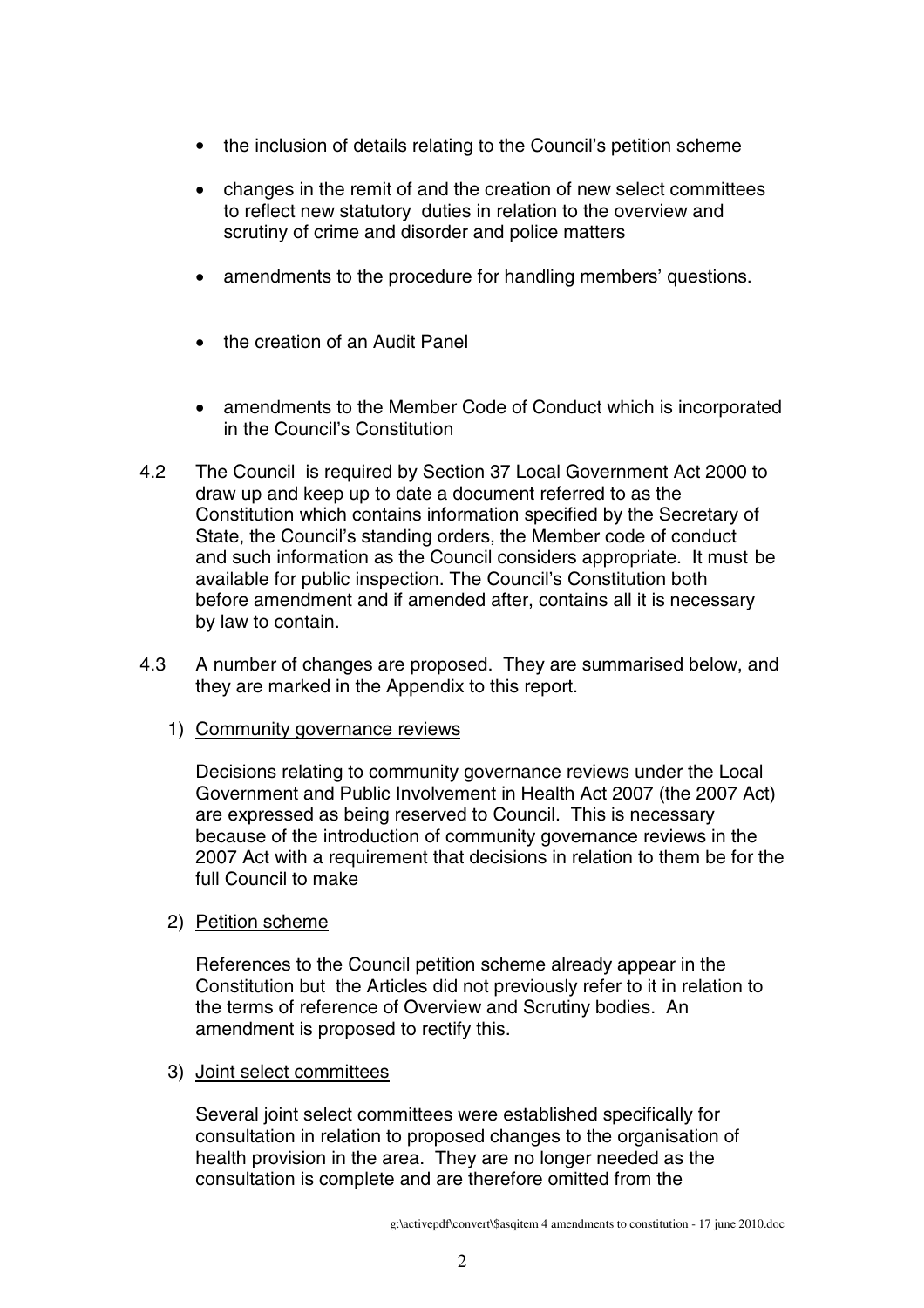- the inclusion of details relating to the Council's petition scheme
- changes in the remit of and the creation of new select committees to reflect new statutory duties in relation to the overview and scrutiny of crime and disorder and police matters
- amendments to the procedure for handling members' questions.
- the creation of an Audit Panel
- amendments to the Member Code of Conduct which is incorporated in the Council's Constitution
- 4.2 The Council is required by Section 37 Local Government Act 2000 to draw up and keep up to date a document referred to as the Constitution which contains information specified by the Secretary of State, the Council's standing orders, the Member code of conduct and such information as the Council considers appropriate. It must be available for public inspection. The Council's Constitution both before amendment and if amended after, contains all it is necessary by law to contain.
- 4.3 A number of changes are proposed. They are summarised below, and they are marked in the Appendix to this report.
	- 1) Community governance reviews

Decisions relating to community governance reviews under the Local Government and Public Involvement in Health Act 2007 (the 2007 Act) are expressed as being reserved to Council. This is necessary because of the introduction of community governance reviews in the 2007 Act with a requirement that decisions in relation to them be for the full Council to make

2) Petition scheme

References to the Council petition scheme already appear in the Constitution but the Articles did not previously refer to it in relation to the terms of reference of Overview and Scrutiny bodies. An amendment is proposed to rectify this.

3) Joint select committees

Several joint select committees were established specifically for consultation in relation to proposed changes to the organisation of health provision in the area. They are no longer needed as the consultation is complete and are therefore omitted from the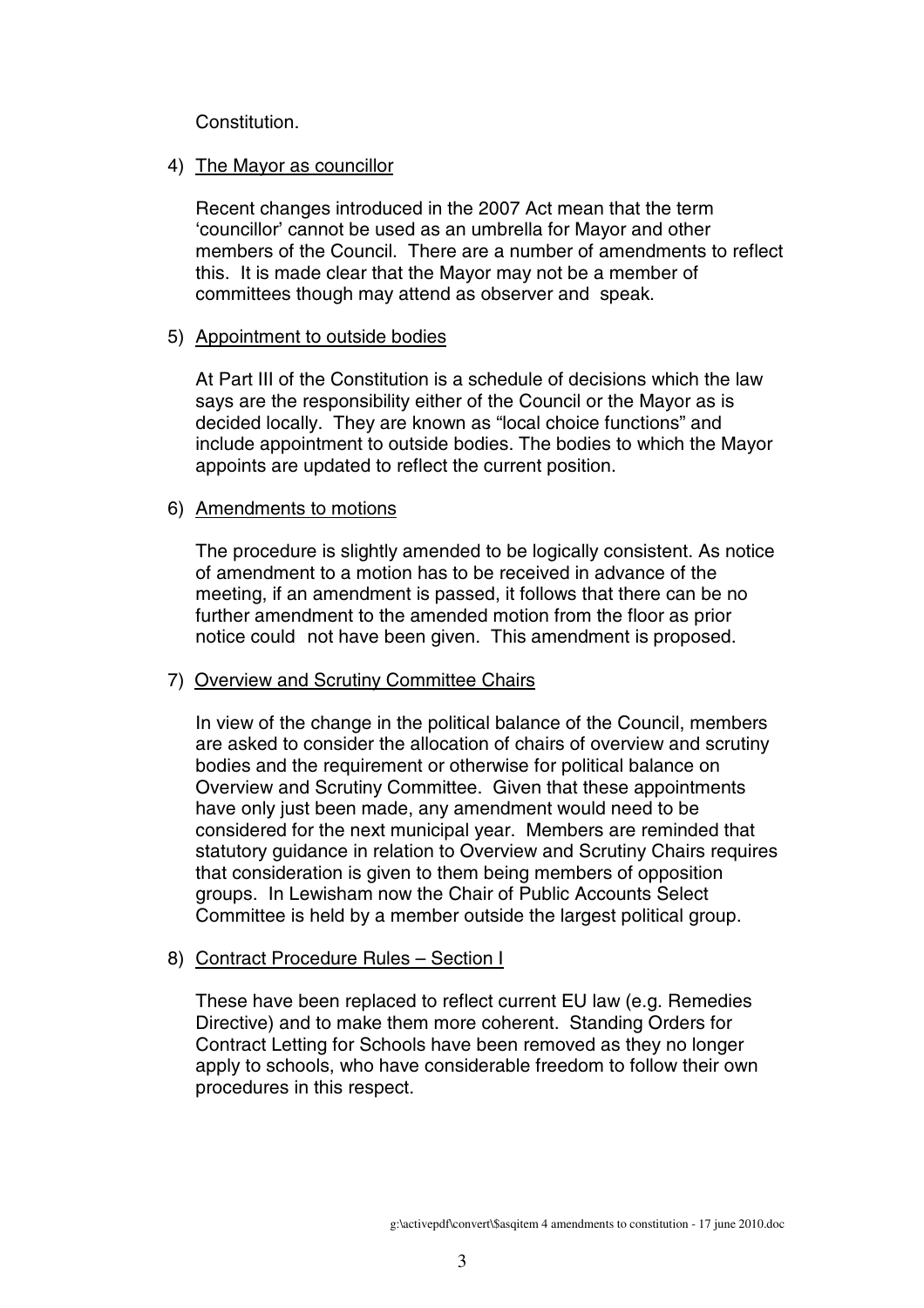Constitution.

#### 4) The Mayor as councillor

Recent changes introduced in the 2007 Act mean that the term 'councillor' cannot be used as an umbrella for Mayor and other members of the Council. There are a number of amendments to reflect this. It is made clear that the Mayor may not be a member of committees though may attend as observer and speak.

#### 5) Appointment to outside bodies

At Part III of the Constitution is a schedule of decisions which the law says are the responsibility either of the Council or the Mayor as is decided locally. They are known as "local choice functions" and include appointment to outside bodies. The bodies to which the Mayor appoints are updated to reflect the current position.

#### 6) Amendments to motions

The procedure is slightly amended to be logically consistent. As notice of amendment to a motion has to be received in advance of the meeting, if an amendment is passed, it follows that there can be no further amendment to the amended motion from the floor as prior notice could not have been given. This amendment is proposed.

# 7) Overview and Scrutiny Committee Chairs

In view of the change in the political balance of the Council, members are asked to consider the allocation of chairs of overview and scrutiny bodies and the requirement or otherwise for political balance on Overview and Scrutiny Committee. Given that these appointments have only just been made, any amendment would need to be considered for the next municipal year. Members are reminded that statutory guidance in relation to Overview and Scrutiny Chairs requires that consideration is given to them being members of opposition groups. In Lewisham now the Chair of Public Accounts Select Committee is held by a member outside the largest political group.

# 8) Contract Procedure Rules – Section I

These have been replaced to reflect current EU law (e.g. Remedies Directive) and to make them more coherent. Standing Orders for Contract Letting for Schools have been removed as they no longer apply to schools, who have considerable freedom to follow their own procedures in this respect.